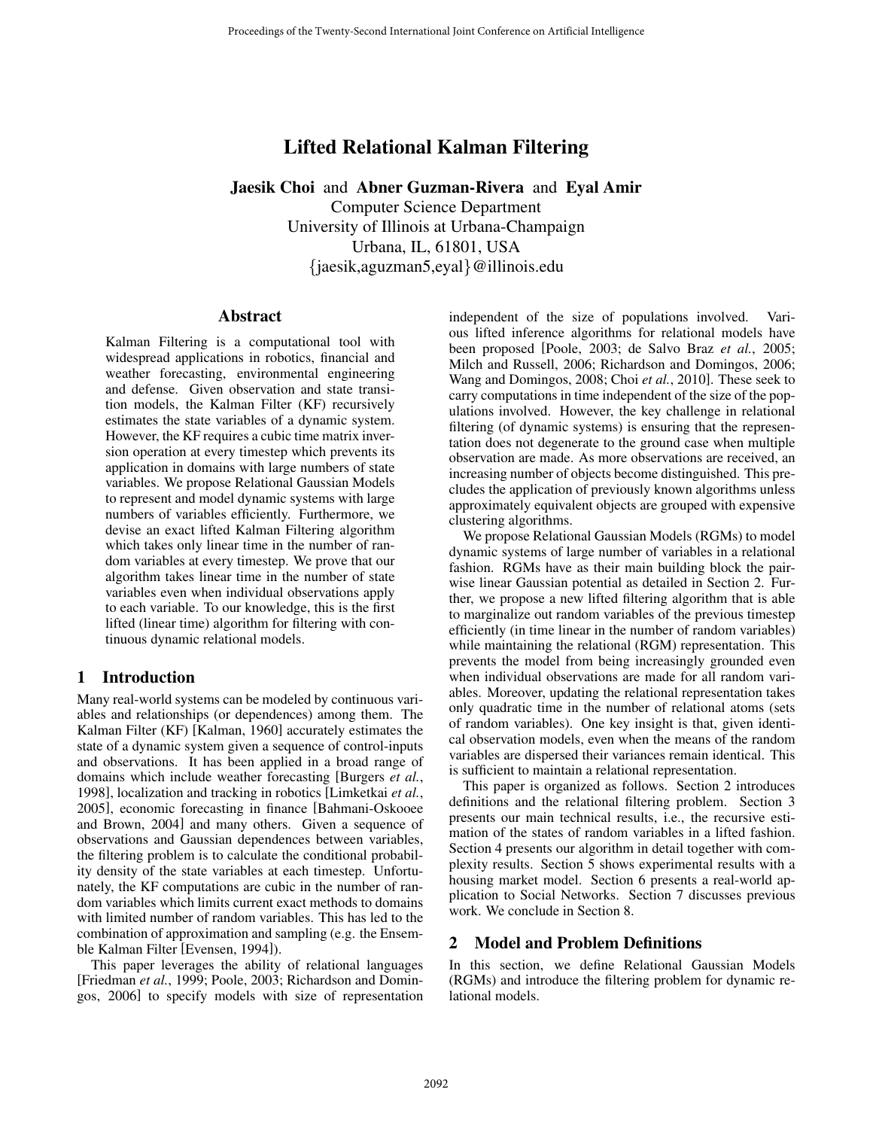# Lifted Relational Kalman Filtering

Jaesik Choi and Abner Guzman-Rivera and Eyal Amir

Computer Science Department University of Illinois at Urbana-Champaign Urbana, IL, 61801, USA {jaesik,aguzman5,eyal}@illinois.edu

### Abstract

Kalman Filtering is a computational tool with widespread applications in robotics, financial and weather forecasting, environmental engineering and defense. Given observation and state transition models, the Kalman Filter (KF) recursively estimates the state variables of a dynamic system. However, the KF requires a cubic time matrix inversion operation at every timestep which prevents its application in domains with large numbers of state variables. We propose Relational Gaussian Models to represent and model dynamic systems with large numbers of variables efficiently. Furthermore, we devise an exact lifted Kalman Filtering algorithm which takes only linear time in the number of random variables at every timestep. We prove that our algorithm takes linear time in the number of state variables even when individual observations apply to each variable. To our knowledge, this is the first lifted (linear time) algorithm for filtering with continuous dynamic relational models.

# 1 Introduction

Many real-world systems can be modeled by continuous variables and relationships (or dependences) among them. The Kalman Filter (KF) [Kalman, 1960] accurately estimates the state of a dynamic system given a sequence of control-inputs and observations. It has been applied in a broad range of domains which include weather forecasting [Burgers *et al.*, 1998], localization and tracking in robotics [Limketkai *et al.*, 2005], economic forecasting in finance [Bahmani-Oskooee and Brown, 2004] and many others. Given a sequence of observations and Gaussian dependences between variables, the filtering problem is to calculate the conditional probability density of the state variables at each timestep. Unfortunately, the KF computations are cubic in the number of random variables which limits current exact methods to domains with limited number of random variables. This has led to the combination of approximation and sampling (e.g. the Ensemble Kalman Filter [Evensen, 1994]).

This paper leverages the ability of relational languages [Friedman *et al.*, 1999; Poole, 2003; Richardson and Domingos, 2006] to specify models with size of representation independent of the size of populations involved. Various lifted inference algorithms for relational models have been proposed [Poole, 2003; de Salvo Braz *et al.*, 2005; Milch and Russell, 2006; Richardson and Domingos, 2006; Wang and Domingos, 2008; Choi *et al.*, 2010]. These seek to carry computations in time independent of the size of the populations involved. However, the key challenge in relational filtering (of dynamic systems) is ensuring that the representation does not degenerate to the ground case when multiple observation are made. As more observations are received, an increasing number of objects become distinguished. This precludes the application of previously known algorithms unless approximately equivalent objects are grouped with expensive clustering algorithms.

We propose Relational Gaussian Models (RGMs) to model dynamic systems of large number of variables in a relational fashion. RGMs have as their main building block the pairwise linear Gaussian potential as detailed in Section 2. Further, we propose a new lifted filtering algorithm that is able to marginalize out random variables of the previous timestep efficiently (in time linear in the number of random variables) while maintaining the relational (RGM) representation. This prevents the model from being increasingly grounded even when individual observations are made for all random variables. Moreover, updating the relational representation takes only quadratic time in the number of relational atoms (sets of random variables). One key insight is that, given identical observation models, even when the means of the random variables are dispersed their variances remain identical. This is sufficient to maintain a relational representation.

This paper is organized as follows. Section 2 introduces definitions and the relational filtering problem. Section 3 presents our main technical results, i.e., the recursive estimation of the states of random variables in a lifted fashion. Section 4 presents our algorithm in detail together with complexity results. Section 5 shows experimental results with a housing market model. Section 6 presents a real-world application to Social Networks. Section 7 discusses previous work. We conclude in Section 8.

# 2 Model and Problem Definitions

In this section, we define Relational Gaussian Models (RGMs) and introduce the filtering problem for dynamic relational models.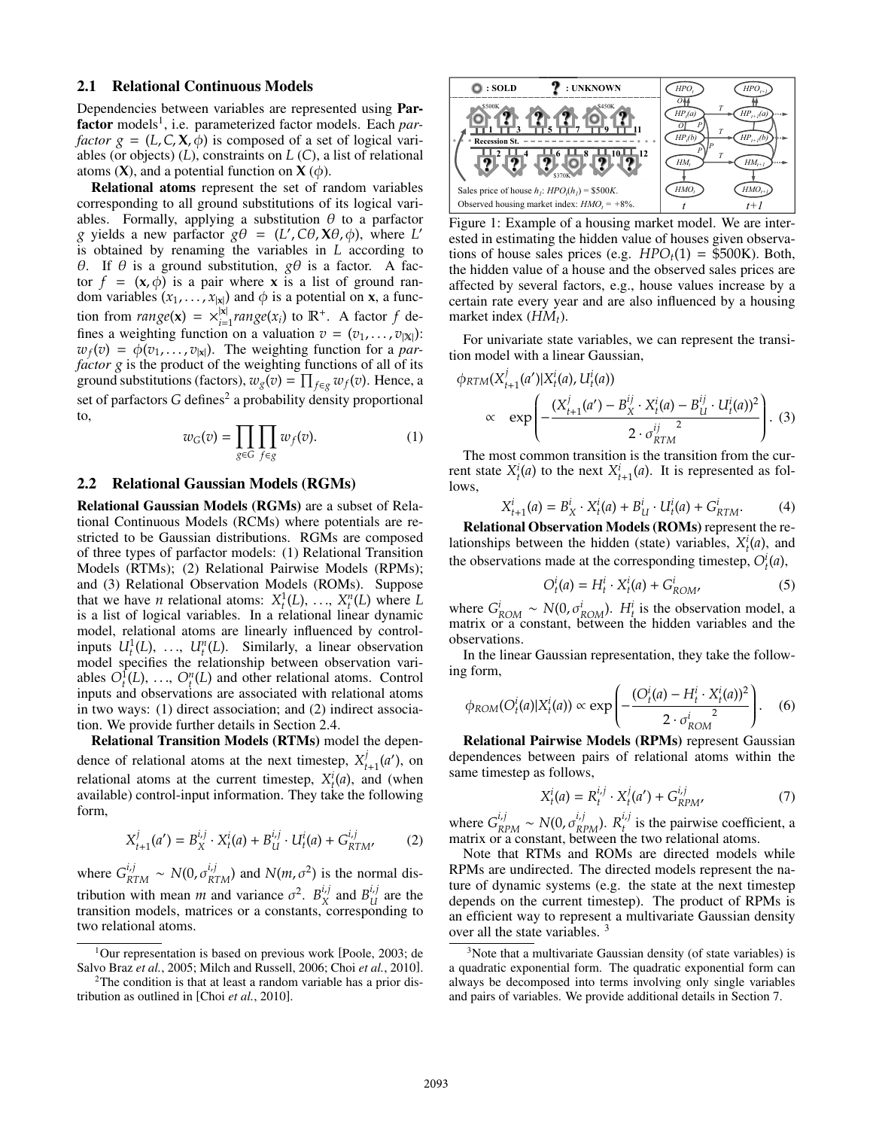#### 2.1 Relational Continuous Models

Dependencies between variables are represented using Parfactor models<sup>1</sup>, i.e. parameterized factor models. Each par*factor*  $g = (L, C, X, \phi)$  is composed of a set of logical variables (or objects) (*L*), constraints on *L* (*C*), a list of relational atoms  $(X)$ , and a potential function on  $X(\phi)$ .

Relational atoms represent the set of random variables corresponding to all ground substitutions of its logical variables. Formally, applying a substitution  $\theta$  to a parfactor *g* yields a new parfactor  $g\theta = (L', C\theta, X\theta, \phi)$ , where *L' s* obtained by renaming the variables in *L* according to is obtained by renaming the variables in *L* according to <sup>θ</sup>. If <sup>θ</sup> is a ground substitution, *g*<sup>θ</sup> is a factor. A factor  $f = (\mathbf{x}, \phi)$  is a pair where **x** is a list of ground random variables  $(x_1, \ldots, x_{|\mathbf{x}|})$  and  $\phi$  is a potential on **x**, a function from  $range(x) = \frac{x}{i}$   $\frac{x}{i}$   $range(x_i)$  to  $\mathbb{R}^+$ . A factor  $f$  defines a weighting function on a valuation  $v = (v_1, \ldots, v_{\text{av}})$ fines a weighting function on a valuation  $v = (v_1, \ldots, v_{|\mathbb{X}|})$ :  $w_f(v) = \phi(v_1, \ldots, v_{|x|})$ . The weighting function for a *parfactor g* is the product of the weighting functions of all of its ground substitutions (factors),  $w_g(v) = \prod_{f \in g} w_f(v)$ . Hence, a set of parfactors *G* defines<sup>2</sup> a probability density proportional to,

$$
w_G(v) = \prod_{g \in G} \prod_{f \in g} w_f(v). \tag{1}
$$

#### 2.2 Relational Gaussian Models (RGMs)

Relational Gaussian Models (RGMs) are a subset of Relational Continuous Models (RCMs) where potentials are restricted to be Gaussian distributions. RGMs are composed of three types of parfactor models: (1) Relational Transition Models (RTMs); (2) Relational Pairwise Models (RPMs); and (3) Relational Observation Models (ROMs). Suppose that we have *n* relational atoms:  $X_t^1(L), \ldots, X_t^n(L)$  where *L* is a list of logical variables. In a relational linear dynamic is a list of logical variables. In a relational linear dynamic model, relational atoms are linearly influenced by controlinputs  $U_t^1(L)$ , ...,  $U_t^n(L)$ . Similarly, a linear observation<br>model specifies the relationship between observation varimodel specifies the relationship between observation variables  $O_t^{\{t\}}(L)$ , ...,  $O_t^n(L)$  and other relational atoms. Control<br>inputs and observations are associated with relational atoms inputs and observations are associated with relational atoms in two ways: (1) direct association; and (2) indirect association. We provide further details in Section 2.4.

Relational Transition Models (RTMs) model the dependence of relational atoms at the next timestep,  $X_{t+1}^j(a')$ , on relational atoms at the current timestep,  $X_{t+1}^j(a)$  and (when relational atoms at the current timestep,  $X_i^i(a)$ , and (when<br>available) control-input information. They take the following *t* available) control-input information. They take the following form,

$$
X_{t+1}^j(a') = B_X^{i,j} \cdot X_t^i(a) + B_U^{i,j} \cdot U_t^i(a) + G_{RTM'}^{i,j}
$$
 (2)

where  $G_{RTM}^{i,j} \sim N(0, \sigma_{RTM}^{i,j})$  and  $N(m, \sigma^2)$  is the normal dis-<br>the time is the normal distance of  $R_{RTM}^{i,j}$  and  $R_{M}^{i,j}$  and  $R_{M}^{i,j}$ tribution with mean *m* and variance  $\sigma^2$ .  $B_X^{i,j}$  and  $B_U^{i,j}$  are the transition models, matrices or a constants, corresponding to two relational atoms.



Figure 1: Example of a housing market model. We are interested in estimating the hidden value of houses given observations of house sales prices (e.g.  $HPO_t(1) = $500K$ ). Both, the hidden value of a house and the observed sales prices are affected by several factors, e.g., house values increase by a certain rate every year and are also influenced by a housing market index (*HM<sub>t</sub>*).

For univariate state variables, we can represent the transition model with a linear Gaussian,

$$
\phi_{RTM}(X'_{t+1}(a')|X'_t(a), U'_t(a))
$$
\n
$$
\propto \exp\left(-\frac{(X^j_{t+1}(a') - B^{ij}_X \cdot X^i_t(a) - B^{ij}_U \cdot U^i_t(a))^2}{2 \cdot \sigma_{RTM}^{ij}}\right).
$$
\n(3)

The most common transition is the transition from the current state  $X_t^i(a)$  to the next  $X_{t+1}^i(a)$ . It is represented as follows. lows,

$$
X_{t+1}^{i}(a) = B_X^i \cdot X_t^i(a) + B_U^i \cdot U_t^i(a) + G_{RTM}^i.
$$
 (4)  
Relational Observation Models (ROMs) represent the re-

lationships between the hidden (state) variables,  $X_i^i(a)$ , and the observations made at the corresponding timester.  $Q_i^i(a)$ the observations made at the corresponding timestep,  $O_t^i(a)$ ,

$$
O_t^i(a) = H_t^i \cdot X_t^i(a) + G_{ROM}^i,\tag{5}
$$

where  $G_{ROM}^i \sim N(0, \sigma_{ROM}^i)$ .  $H_t^i$  is the observation model, a matrix or a constant, between the hidden variables and the observations.

In the linear Gaussian representation, they take the following form,

$$
\phi_{ROM}(O_t^i(a)|X_t^i(a)) \propto \exp\left(-\frac{(O_t^i(a) - H_t^i \cdot X_t^i(a))^2}{2 \cdot \sigma_{ROM}^i}\right).
$$
 (6)

**Relational Pairwise Models (RPMs)** represent Gaussian dependences between pairs of relational atoms within the same timestep as follows,

$$
X_t^i(a) = R_t^{i,j} \cdot X_t^j(a') + G_{RPM'}^{i,j}
$$
 (7)

where  $G_{RPM}^{i,j} \sim N(0, \sigma_{RPM}^{i,j})$ .  $R_t^{i,j}$  is the pairwise coefficient, a matrix or a constant, between the two relational atoms.

Note that RTMs and ROMs are directed models while RPMs are undirected. The directed models represent the nature of dynamic systems (e.g. the state at the next timestep depends on the current timestep). The product of RPMs is an efficient way to represent a multivariate Gaussian density over all the state variables. <sup>3</sup>

<sup>1</sup>Our representation is based on previous work [Poole, 2003; de Salvo Braz *et al.*, 2005; Milch and Russell, 2006; Choi *et al.*, 2010].

<sup>2</sup>The condition is that at least a random variable has a prior distribution as outlined in [Choi *et al.*, 2010].

<sup>3</sup>Note that a multivariate Gaussian density (of state variables) is a quadratic exponential form. The quadratic exponential form can always be decomposed into terms involving only single variables and pairs of variables. We provide additional details in Section 7.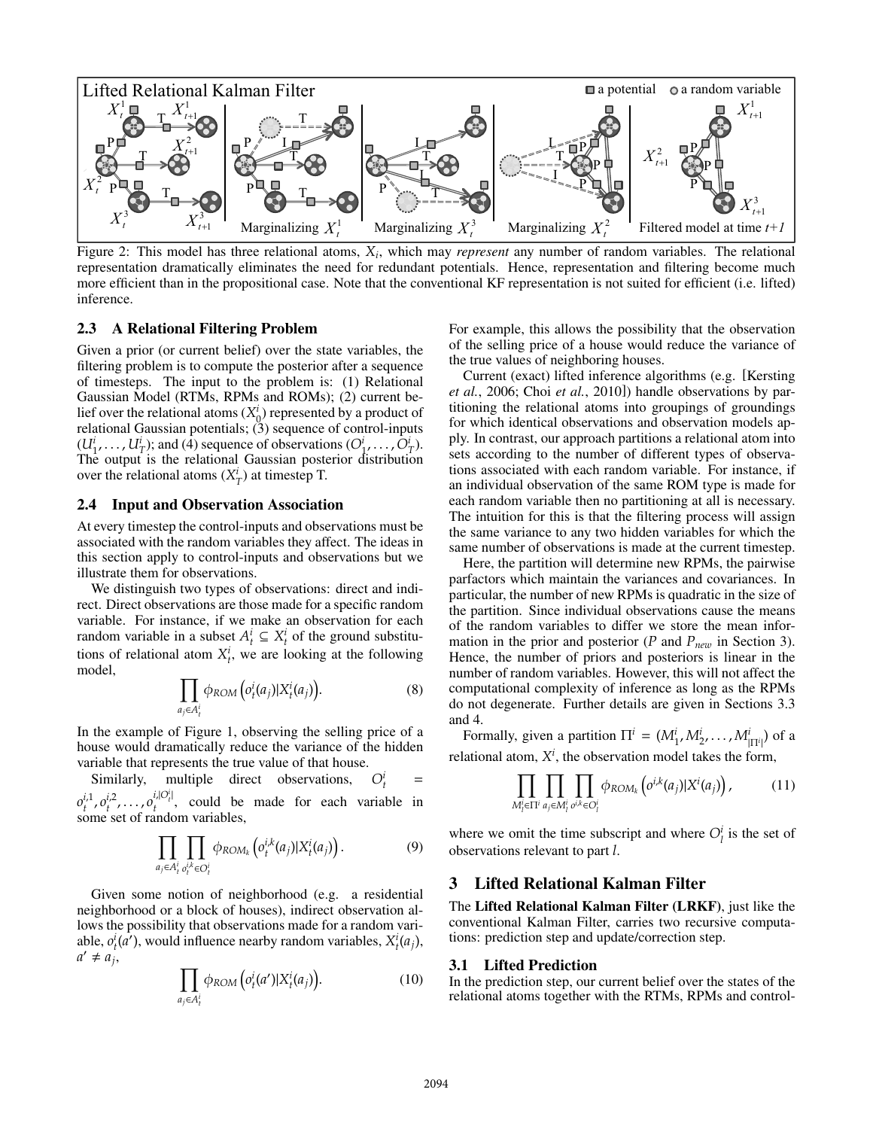

Figure 2: This model has three relational atoms, *Xi*, which may *represent* any number of random variables. The relational representation dramatically eliminates the need for redundant potentials. Hence, representation and filtering become much more efficient than in the propositional case. Note that the conventional KF representation is not suited for efficient (i.e. lifted) inference.

### 2.3 A Relational Filtering Problem

Given a prior (or current belief) over the state variables, the filtering problem is to compute the posterior after a sequence of timesteps. The input to the problem is: (1) Relational Gaussian Model (RTMs, RPMs and ROMs); (2) current belief over the relational atoms  $(X_0^l)$  represented by a product of relational Gaussian potentials:  $(3)$  sequence of control-inputs relational Gaussian potentials; (3) sequence of control-inputs  $(U_1^i, \ldots, U_T^i)$ ; and (4) sequence of observations  $(O_1^i, \ldots, O_T^i)$ .<br>The output is the relational Gaussian posterior distribution The output is the relational Gaussian posterior distribution over the relational atoms  $(X_T^i)$  at timestep T.

#### 2.4 Input and Observation Association

At every timestep the control-inputs and observations must be associated with the random variables they affect. The ideas in this section apply to control-inputs and observations but we illustrate them for observations.

We distinguish two types of observations: direct and indirect. Direct observations are those made for a specific random variable. For instance, if we make an observation for each random variable in a subset  $A_t^i \subseteq X_t^i$  of the ground substitu-<br>tions of relational stom  $X^i$ , we are looking at the following tions of relational atom  $X_t^i$ , we are looking at the following model model,

$$
\prod_{a_j \in A_t^i} \phi_{ROM} \left( o_t^i(a_j) | X_t^i(a_j) \right). \tag{8}
$$

In the example of Figure 1, observing the selling price of a house would dramatically reduce the variance of the hidden variable that represents the true value of that house.

Similarly, multiple direct observations, *O<sup>i</sup>*  $\frac{t}{t}$  =  $\sum_{t}^{t}$   $\sum_{t}^{t}$  set of random variables,  $i_1^1, o_1^{i,1}, \ldots, o_t^{i,|\mathcal{O}|}$ , could be made for each variable in ome set of random variables.

$$
\prod_{a_j \in A_t^i} \prod_{o_t^{i,k} \in O_t^i} \phi_{ROM_k} \left( o_t^{i,k}(a_j) | X_t^i(a_j) \right). \tag{9}
$$

Given some notion of neighborhood (e.g. a residential neighborhood or a block of houses), indirect observation allows the possibility that observations made for a random variable,  $o_i^i(a')$ , would influence nearby random variables,  $X_i^i(a_j)$ ,  $a' \neq a_i$ .  $a' \neq a_j$ ,

$$
\prod_{a_j \in A_t^i} \phi_{ROM} \left( o_t^i(a') | X_t^i(a_j) \right). \tag{10}
$$

For example, this allows the possibility that the observation of the selling price of a house would reduce the variance of the true values of neighboring houses.

Current (exact) lifted inference algorithms (e.g. [Kersting *et al.*, 2006; Choi *et al.*, 2010]) handle observations by partitioning the relational atoms into groupings of groundings for which identical observations and observation models apply. In contrast, our approach partitions a relational atom into sets according to the number of different types of observations associated with each random variable. For instance, if an individual observation of the same ROM type is made for each random variable then no partitioning at all is necessary. The intuition for this is that the filtering process will assign the same variance to any two hidden variables for which the same number of observations is made at the current timestep.

Here, the partition will determine new RPMs, the pairwise parfactors which maintain the variances and covariances. In particular, the number of new RPMs is quadratic in the size of the partition. Since individual observations cause the means of the random variables to differ we store the mean information in the prior and posterior ( $P$  and  $P_{new}$  in Section 3). Hence, the number of priors and posteriors is linear in the number of random variables. However, this will not affect the computational complexity of inference as long as the RPMs do not degenerate. Further details are given in Sections 3.3 and 4.

Formally, given a partition  $\Pi^i = (M^i_1, M^i_2, \dots, M^i_{|\Pi^i|})$  of a relational atom,  $X^i$ , the observation model takes the form,

$$
\prod_{M'_i \in \Pi^i} \prod_{a_j \in M'_i} \prod_{o^{i,k} \in O_i^i} \phi_{ROM_k}\left(o^{i,k}(a_j) | X^i(a_j)\right),\tag{11}
$$

where we omit the time subscript and where  $O_l^i$  is the set of observations relevant to part *l* observations relevant to part *l*.

### 3 Lifted Relational Kalman Filter

The Lifted Relational Kalman Filter (LRKF), just like the conventional Kalman Filter, carries two recursive computations: prediction step and update/correction step.

#### 3.1 Lifted Prediction

In the prediction step, our current belief over the states of the relational atoms together with the RTMs, RPMs and control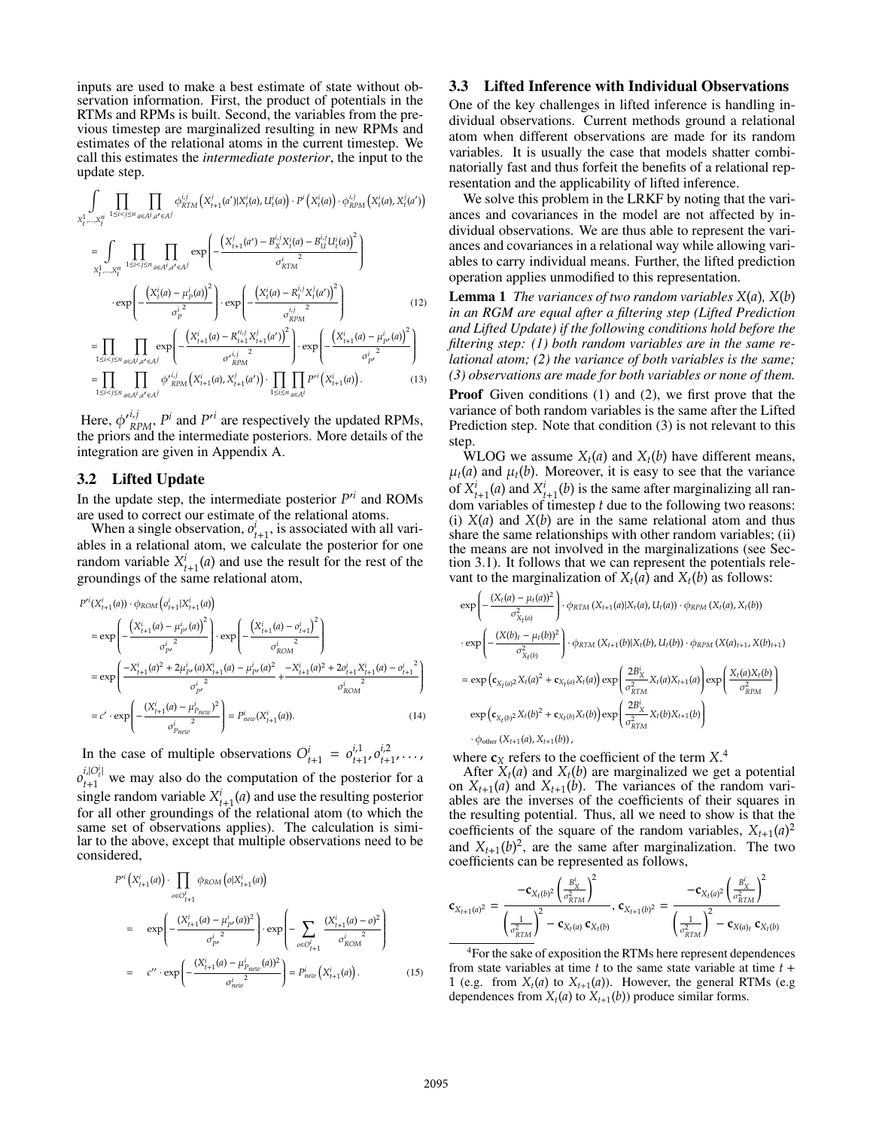inputs are used to make a best estimate of state without observation information. First, the product of potentials in the RTMs and RPMs is built. Second, the variables from the previous timestep are marginalized resulting in new RPMs and estimates of the relational atoms in the current timestep. We call this estimates the *intermediate posterior*, the input to the update step.

$$
\int_{X_t^1, \dots, X_t^n} \prod_{1 \le i < j \le n} \prod_{a \in A^i, a' \in A^j} \phi_{RTM}^{i,j} \left( X_{t+1}^j(a') | X_i^i(a), U_i^i(a) \right) \cdot P^i \left( X_i^i(a) \right) \cdot \phi_{RPM}^{i,j} \left( X_i^i(a), X_i^j(a') \right)
$$
\n
$$
= \int_{X_t^1, \dots, X_t^n} \prod_{1 \le i < j \le n} \prod_{a \in A^i, a' \in A^j} \exp \left( -\frac{\left( X_{t+1}^j(a') - B_X^{i,j} X_i^i(a) - B_U^{i,j} U_i^i(a) \right)^2}{\sigma_{RTM}^i} \right)
$$
\n
$$
\cdot \exp \left( -\frac{\left( X_t^i(a) - \mu_P^i(a) \right)^2}{\sigma_{RTM}^i} \right) \cdot \exp \left( -\frac{\left( X_t^i(a) - R_t^{i,j} X_t^j(a') \right)^2}{\sigma_{RTM}^i} \right) \tag{12}
$$

$$
\exp\left[-\frac{(\mathbf{x}_{t}(\mathbf{u}) - \mu_{p}(\mathbf{u}))}{\sigma_{p}^{i}}\right] \cdot \exp\left[-\frac{(\mathbf{x}_{t}(\mathbf{u}) - \mathbf{x}_{t} - \mathbf{x}_{t}(\mathbf{u}'))}{\sigma_{RPM}^{i}}\right]
$$
(12)  
\n
$$
= \prod_{1 \le i < j \le n} \prod_{a \in A^{i}, a' \in A^{j}} \exp\left(-\frac{\left(X_{t+1}^{i}(a) - R_{t+1}^{i,j} X_{t+1}^{j}(a')\right)^{2}}{\sigma_{RPM}^{i,j}}\right) \cdot \exp\left(-\frac{\left(X_{t+1}^{i}(a) - \mu_{p'}^{i}(a)\right)^{2}}{\sigma_{p'}^{i}}\right)
$$
  
\n
$$
= \prod_{1 \le i < j \le n} \prod_{a \in A^{i}, a' \in A^{j}} \phi'_{RPM}^{i,j}\left(X_{t+1}^{i}(a), X_{t+1}^{i}(a')\right) \cdot \prod_{1 \le i \le n} \prod_{a \in A^{i}} P'^{i}\left(X_{t+1}^{i}(a)\right).
$$
(13)

Here,  $\phi_{RPM}^{i,j}$ ,  $P^i$  and  $P'^i$  are respectively the updated RPMs, he priors and the intermediate posteriors. More details of the the priors and the intermediate posteriors. More details of the integration are given in Appendix A.

### 3.2 Lifted Update

In the update step, the intermediate posterior  $P<sup>n</sup>$  and ROMs are used to correct our estimate of the relational atoms are used to correct our estimate of the relational atoms.

When a single observation,  $o_{t+1}^t$ , is associated with all vari-<br>les in a relational atom, we calculate the posterior for one ables in a relational atom, we calculate the posterior for one random variable  $X_{t+1}^t(a)$  and use the result for the rest of the groundings of the same relational atom. groundings of the same relational atom,

$$
P'^{i}(X_{t+1}^{i}(a)) \cdot \phi_{ROM} \left(o_{t+1}^{i}|X_{t+1}^{i}(a)\right)
$$
\n
$$
= \exp\left(-\frac{\left(X_{t+1}^{i}(a) - \mu_{p'}^{i}(a)\right)^{2}}{\sigma_{p'}^{i^{2}}}\right) \cdot \exp\left(-\frac{\left(X_{t+1}^{i}(a) - \sigma_{t+1}^{i}\right)^{2}}{\sigma_{ROM}^{i^{2}}}\right)
$$
\n
$$
= \exp\left(\frac{-X_{t+1}^{i}(a)^{2} + 2\mu_{p'}^{i}(a)X_{t+1}^{i}(a) - \mu_{p'}^{i}(a)^{2}}{\sigma_{p'}^{i^{2}}}\right) + \frac{-X_{t+1}^{i}(a)^{2} + 2\sigma_{t+1}^{i}X_{t+1}^{i}(a) - \sigma_{t+1}^{i^{2}}}{\sigma_{ROM}^{i^{2}}}\right)
$$
\n
$$
= c' \cdot \exp\left(-\frac{\left(X_{t+1}^{i}(a) - \mu_{P_{REC}}^{i}\right)^{2}}{\sigma_{P_{REC}}^{i^{2}}}\right) = P_{new}^{i}(X_{t+1}^{i}(a)).
$$
\n(14)

In the case of multiple observations  $O_{t+1}^i = o_{t+1}^{i,1}, o_{t+1}^{i,2}, \ldots, o_{t+1}^{i,2}$  $\sum_{t=1}^{t+1}$ <br>
single random variable  $X_{t+1}^i(a)$  and use the resulting posterior<br>
for all other groundings of the relational atom (to which the  $\dot{t}_{t+1}^{[O_t^i]}$  we may also do the computation of the posterior for a ingle random variable  $X^i$ . (a) and use the resulting posterior for all other groundings of the relational atom (to which the same set of observations applies). The calculation is similar to the above, except that multiple observations need to be considered,

$$
P'^{i}\left(X'_{t+1}(a)\right) \cdot \prod_{o \in O_{t+1}^{i}} \phi_{ROM}\left(o|X'_{t+1}(a)\right)
$$
\n
$$
= \exp\left(-\frac{\left(X'_{t+1}(a) - \mu_{p'}^{i}(a)\right)^{2}}{\sigma_{p'}^{i^{2}}}\right) \cdot \exp\left(-\sum_{o \in O_{t+1}^{i}} \frac{\left(X'_{t+1}(a) - o\right)^{2}}{\sigma_{ROM}^{i^{2}}}\right)
$$
\n
$$
= c'' \cdot \exp\left(-\frac{\left(X'_{t+1}(a) - \mu_{p_{new}}^{i}(a)\right)^{2}}{\sigma_{new}^{i^{2}}}\right) = P'_{new}\left(X'_{t+1}(a)\right). \tag{15}
$$

#### 3.3 Lifted Inference with Individual Observations

One of the key challenges in lifted inference is handling individual observations. Current methods ground a relational atom when different observations are made for its random variables. It is usually the case that models shatter combinatorially fast and thus forfeit the benefits of a relational representation and the applicability of lifted inference.

We solve this problem in the LRKF by noting that the variances and covariances in the model are not affected by individual observations. We are thus able to represent the variances and covariances in a relational way while allowing variables to carry individual means. Further, the lifted prediction operation applies unmodified to this representation.

Lemma 1 *The variances of two random variables X*(*a*)*, X*(*b*) *in an RGM are equal after a filtering step (Lifted Prediction and Lifted Update) if the following conditions hold before the filtering step: (1) both random variables are in the same relational atom; (2) the variance of both variables is the same; (3) observations are made for both variables or none of them.*

**Proof** Given conditions (1) and (2), we first prove that the variance of both random variables is the same after the Lifted Prediction step. Note that condition (3) is not relevant to this step.

 $\overline{WLOG}$  we assume  $X_t(a)$  and  $X_t(b)$  have different means,  $\mu_t(a)$  and  $\mu_t(b)$ . Moreover, it is easy to see that the variance of  $X_{t+1}^i(a)$  and  $X_{t+1}^i(b)$  is the same after marginalizing all ran-<br>dom variables of timesten *t* due to the following two reasons: dom variables of timestep *t* due to the following two reasons: (i)  $X(a)$  and  $X(b)$  are in the same relational atom and thus share the same relationships with other random variables; (ii) the means are not involved in the marginalizations (see Section 3.1). It follows that we can represent the potentials relevant to the marginalization of  $X_t(a)$  and  $X_t(b)$  as follows:

$$
\exp\left(-\frac{(X_t(a) - \mu_t(a))^2}{\sigma_{X_t(a)}^2}\right) \cdot \phi_{RTM}(X_{t+1}(a)|X_t(a), U_t(a)) \cdot \phi_{RPM}(X_t(a), X_t(b))
$$
\n
$$
\cdot \exp\left(-\frac{(X(b)_t - \mu_t(b))^2}{\sigma_{X_t(b)}^2}\right) \cdot \phi_{RTM}(X_{t+1}(b)|X_t(b), U_t(b)) \cdot \phi_{RPM}(X(a)_{t+1}, X(b)_{t+1})
$$
\n
$$
= \exp\left(\mathbf{c}_{X_t(a)^2} X_t(a)^2 + \mathbf{c}_{X_t(a)} X_t(a)\right) \exp\left(\frac{2B_X^i}{\sigma_{RTM}^2} X_t(a) X_{t+1}(a)\right) \exp\left(\frac{X_t(a)X_t(b)}{\sigma_{RPM}^2}\right)
$$
\n
$$
\exp\left(\mathbf{c}_{X_t(b)^2} X_t(b)^2 + \mathbf{c}_{X_t(b)} X_t(b)\right) \exp\left(\frac{2B_X^i}{\sigma_{RTM}^2} X_t(b) X_{t+1}(b)\right)
$$
\n
$$
\cdot \phi_{\text{other}}(X_{t+1}(a), X_{t+1}(b)),
$$

where  $\mathbf{c}_X$  refers to the coefficient of the term  $X^4$ .<br>After  $X_t(a)$  and  $X_t(b)$  are marginalized we get

After  $X_t(a)$  and  $X_t(b)$  are marginalized we get a potential on  $X_{t+1}(a)$  and  $X_{t+1}(b)$ . The variances of the random variables are the inverses of the coefficients of their squares in the resulting potential. Thus, all we need to show is that the coefficients of the square of the random variables,  $X_{t+1}(a)^2$ <br>and  $X_{t+1}(b)^2$  are the same after marginalization. The two and  $X_{t+1}(b)^2$ , are the same after marginalization. The two coefficients can be represented as follows. coefficients can be represented as follows,

$$
\mathbf{c}_{X_{t+1}(a)^2} = \frac{-\mathbf{c}_{X_t(b)^2} \left(\frac{B_X^i}{\sigma_{RTM}^2}\right)^2}{\left(\frac{1}{\sigma_{RTM}^2}\right)^2 - \mathbf{c}_{X_t(a)} \mathbf{c}_{X_t(b)}}, \, \mathbf{c}_{X_{t+1}(b)^2} = \frac{-\mathbf{c}_{X_t(a)^2} \left(\frac{B_X^i}{\sigma_{RTM}^2}\right)^2}{\left(\frac{1}{\sigma_{RTM}^2}\right)^2 - \mathbf{c}_{X(a)_t} \mathbf{c}_{X_t(b)}}
$$

4For the sake of exposition the RTMs here represent dependences from state variables at time *t* to the same state variable at time *t* <sup>+</sup> 1 (e.g. from  $X_t(a)$  to  $X_{t+1}(a)$ ). However, the general RTMs (e.g. dependences from  $X_t(a)$  to  $X_{t+1}(b)$ ) produce similar forms.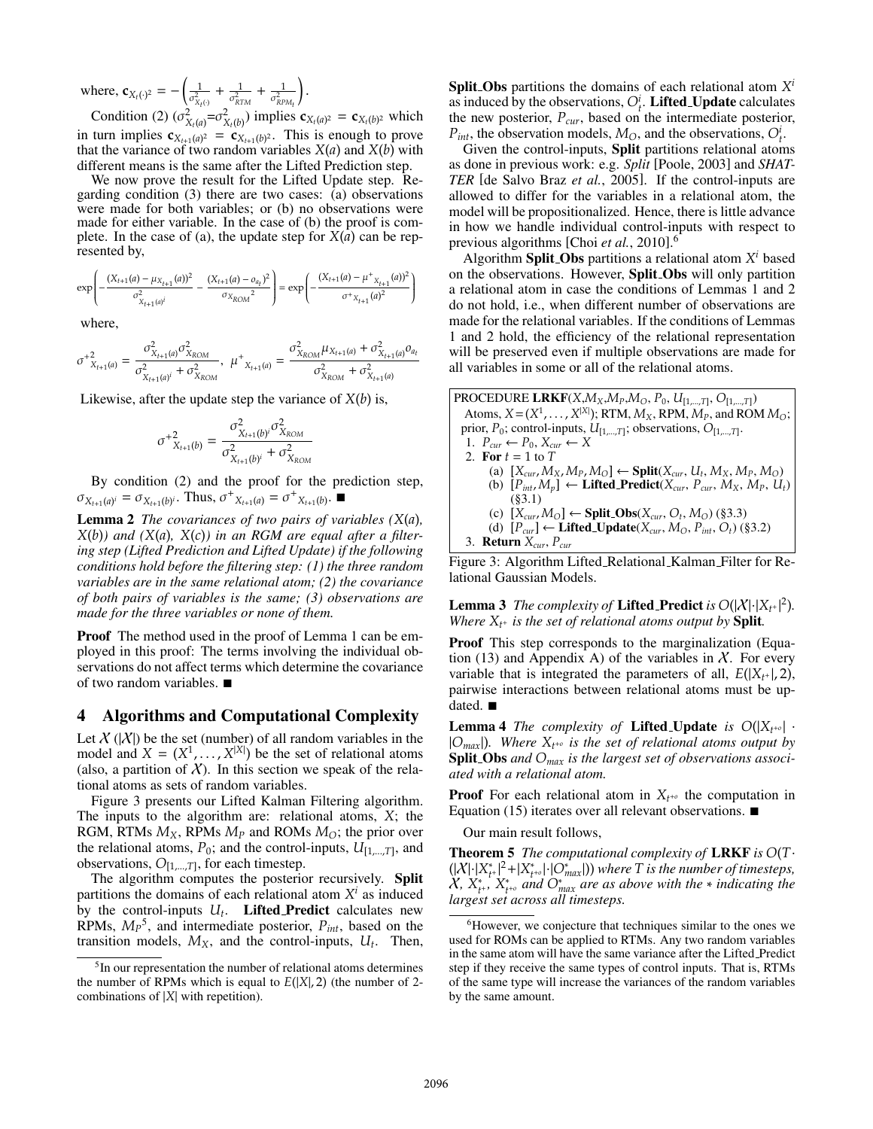where,  $\mathbf{c}_{X_t(\cdot)^2} = -\left(\frac{1}{\sigma_{X_t}^2}\right)$  $\sigma^2_{X_t(\cdot)}$  $+\frac{1}{\sigma_{RTM}^2}$ +  $\frac{1}{\sigma_{\scriptscriptstyle{RP}}^2}$ .

**Condition** (2)  $(\sigma_{X_t(a)}^2 = \sigma_{X_t(b)}^2)$  implies  $\mathbf{c}_{X_t(a)^2} = \mathbf{c}_{X_t(b)^2}$  which in turn implies  $\mathbf{c}_{X_{t+1}(a)^2} = \mathbf{c}_{X_{t+1}(b)^2}$ . This is enough to prove that the variance of two random variables  $X(a)$  and  $X(b)$  with different means is the same after the Lifted Prediction step.

We now prove the result for the Lifted Update step. Regarding condition (3) there are two cases: (a) observations were made for both variables; or (b) no observations were made for either variable. In the case of (b) the proof is complete. In the case of (a), the update step for  $X(a)$  can be represented by,

$$
\exp\left(-\frac{(X_{t+1}(a) - \mu_{X_{t+1}}(a))^2}{\sigma_{X_{t+1}(a)^i}^2} - \frac{(X_{t+1}(a) - \sigma_{a_t})^2}{\sigma_{X_{ROM}}^2}\right) = \exp\left(-\frac{(X_{t+1}(a) - \mu^+_{X_{t+1}}(a))^2}{\sigma^+_{X_{t+1}(a)^2}}\right)
$$

where,

$$
\sigma^{+2}_{X_{t+1}(a)} = \frac{\sigma^{2}_{X_{t+1}(a)} \sigma^{2}_{X_{ROM}}}{\sigma^{2}_{X_{t+1}(a)^{i}} + \sigma^{2}_{X_{ROM}}}, \ \mu^{+}_{X_{t+1}(a)} = \frac{\sigma^{2}_{X_{ROM}} \mu_{X_{t+1}(a)} + \sigma^{2}_{X_{t+1}(a)} \sigma^{2}_{a_{t+1}(a)}}{\sigma^{2}_{X_{ROM}} + \sigma^{2}_{X_{t+1}(a)}}
$$

Likewise, after the update step the variance of  $X(b)$  is,

$$
\sigma^{+2}_{X_{t+1}(b)} = \frac{\sigma_{X_{t+1}(b)}^2 \sigma_{X_{ROM}}^2}{\sigma_{X_{t+1}(b)^i}^2 + \sigma_{X_{ROM}}^2}
$$

By condition (2) and the proof for the prediction step,  $\sigma_{X_{t+1}(a)^i} = \sigma_{X_{t+1}(b)^i}$ . Thus,  $\sigma^+_{X_{t+1}(a)} = \sigma^+_{X_{t+1}(b)}$ .

Lemma 2 *The covariances of two pairs of variables (X*(*a*)*,*  $X(b)$ *)* and  $(X(a), X(c))$  in an RGM are equal after a filter*ing step (Lifted Prediction and Lifted Update) if the following conditions hold before the filtering step: (1) the three random variables are in the same relational atom; (2) the covariance of both pairs of variables is the same; (3) observations are made for the three variables or none of them.*

Proof The method used in the proof of Lemma 1 can be employed in this proof: The terms involving the individual observations do not affect terms which determine the covariance of two random variables.  $\blacksquare$ 

#### 4 Algorithms and Computational Complexity

Let  $X(|X|)$  be the set (number) of all random variables in the model and  $X = (X^1, \dots, X^{|X|})$  be the set of relational atoms (also a partition of X). In this section we speak of the rela-(also, a partition of  $\chi$ ). In this section we speak of the relational atoms as sets of random variables.

Figure 3 presents our Lifted Kalman Filtering algorithm. The inputs to the algorithm are: relational atoms, *X*; the RGM, RTMs  $M_X$ , RPMs  $M_P$  and ROMs  $M_O$ ; the prior over the relational atoms,  $P_0$ ; and the control-inputs,  $U_{[1,...,T]}$ , and observations,  $O_{[1,...,T]}$ , for each timestep.

The algorithm computes the posterior recursively. Split partitions the domains of each relational atom  $X^i$  as induced by the control-inputs  $U_t$ . **Lifted Predict** calculates new RPMs,  $M_P^5$ , and intermediate posterior,  $P_{int}$ , based on the transition models  $M_Y$  and the control-inputs  $H_Y$ . Then transition models,  $M_X$ , and the control-inputs,  $U_t$ . Then, Split Obs partitions the domains of each relational atom *X<sup>i</sup>* as induced by the observations,  $O_t^i$ . **Lifted Update** calculates the new posterior  $P_{\text{new}}$  based on the intermediate posterior the new posterior,  $P_{cur}$ , based on the intermediate posterior,  $P_{cut}$  the observation models  $M_{\odot}$  and the observations  $Q^{i}$  $P_{int}$ , the observation models,  $M_{O}$ , and the observations,  $O_t^i$ .<br>Given the control-inputs. **Split** partitions relational atom

Given the control-inputs, Split partitions relational atoms as done in previous work: e.g. *Split* [Poole, 2003] and *SHAT-TER* [de Salvo Braz *et al.*, 2005]. If the control-inputs are allowed to differ for the variables in a relational atom, the model will be propositionalized. Hence, there is little advance in how we handle individual control-inputs with respect to previous algorithms [Choi *et al.*, 2010]. 6

Algorithm **Split Obs** partitions a relational atom  $X^i$  based on the observations. However, Split Obs will only partition a relational atom in case the conditions of Lemmas 1 and 2 do not hold, i.e., when different number of observations are made for the relational variables. If the conditions of Lemmas 1 and 2 hold, the efficiency of the relational representation will be preserved even if multiple observations are made for all variables in some or all of the relational atoms.

| PROCEDURE LRKF $(X, M_X, M_P, M_O, P_0, U_{[1,,T]}, O_{[1,,T]})$                        |
|-----------------------------------------------------------------------------------------|
| Atoms, $X = (X^1, \ldots, X^{ X })$ ; RTM, $M_X$ , RPM, $M_P$ , and ROM $M_O$ ;         |
| prior, $P_0$ ; control-inputs, $U_{[1,,T]}$ ; observations, $O_{[1,,T]}$ .              |
| 1. $P_{cur} \leftarrow P_0, X_{cur} \leftarrow X$                                       |
| 2. For $t = 1$ to T                                                                     |
| (a) $[X_{cur}, M_X, M_P, M_O] \leftarrow$ Split( $X_{cur}, U_t, M_X, M_P, M_O$ )        |
| (b) $[P_{int}, M_p] \leftarrow \text{Lifted\_Predict}(X_{cur}, P_{cur}, M_X, M_p, U_t)$ |
| (83.1)                                                                                  |
| (c) $[X_{cur}, M_{\Omega}] \leftarrow$ Split_Obs( $X_{cur}, O_t, M_{\Omega}$ ) (§3.3)   |
| (d) $[P_{cur}] \leftarrow$ Lifted_Update( $X_{cur}, M_O, P_{int}, O_t$ ) (§3.2)         |
| 3. <b>Return</b> $X_{cur}$ , $P_{cur}$                                                  |
| Figure 3: Algorithm Lifted_Relational_Kalman_Filter for Re-                             |

lational Gaussian Models.

**Lemma 3** *The complexity of* **Lifted Predict** *is*  $O(|X|\cdot |X_t|\cdot |^2)$ *.* Where  $X_{t+1}$  *is the set of relational atoms output by Split Where*  $X_{t+}$  *is the set of relational atoms output by* **Split***.* 

Proof This step corresponds to the marginalization (Equation (13) and Appendix A) of the variables in  $X$ . For every variable that is integrated the parameters of all,  $E(|X_{t+}|, 2)$ , pairwise interactions between relational atoms must be updated.  $\blacksquare$ 

**Lemma 4** *The complexity of* **Lifted Update** *is*  $O(|X_{t+0}| \cdot )$ <sup>|</sup>*Omax*|)*. Where Xt*<sup>+</sup>*<sup>o</sup> is the set of relational atoms output by* Split Obs *and Omax is the largest set of observations associated with a relational atom.*

**Proof** For each relational atom in  $X_{t^{+0}}$  the computation in Equation (15) iterates over all relevant observations.  $\blacksquare$ 

Our main result follows,

Theorem 5 *The computational complexity of* LRKF *is O*(*T*·  $(|X| \cdot |X^*_{t+}|^2 + |X^*_{t+0}| \cdot |O^*_{max}|)$ ) where T is the number of timesteps,<br> $X^* X^*$ ,  $X^*$ , and  $O^*$  are as above with the  $*$  indicating the *t*<sup>+</sup> |<sup>2</sup> + |*X*<sub>*t*<sup>+o</sup></sub> |·|*O*<sup>∗</sup><sub>*n*</sub><br>*X*<sup>\*</sup>*∞ and O*<sup>\*</sup> *X*,  $X_{t+}^*$ ,  $X_{t+}^*$  and  $O_{max}^*$  are as above with the ∗ indicating the largest set across all timestens. *largest set across all timesteps.*

 $<sup>5</sup>$ In our representation the number of relational atoms determines</sup> the number of RPMs which is equal to  $E(|X|, 2)$  (the number of 2combinations of <sup>|</sup>*X*<sup>|</sup> with repetition).

<sup>&</sup>lt;sup>6</sup>However, we conjecture that techniques similar to the ones we used for ROMs can be applied to RTMs. Any two random variables in the same atom will have the same variance after the Lifted Predict step if they receive the same types of control inputs. That is, RTMs of the same type will increase the variances of the random variables by the same amount.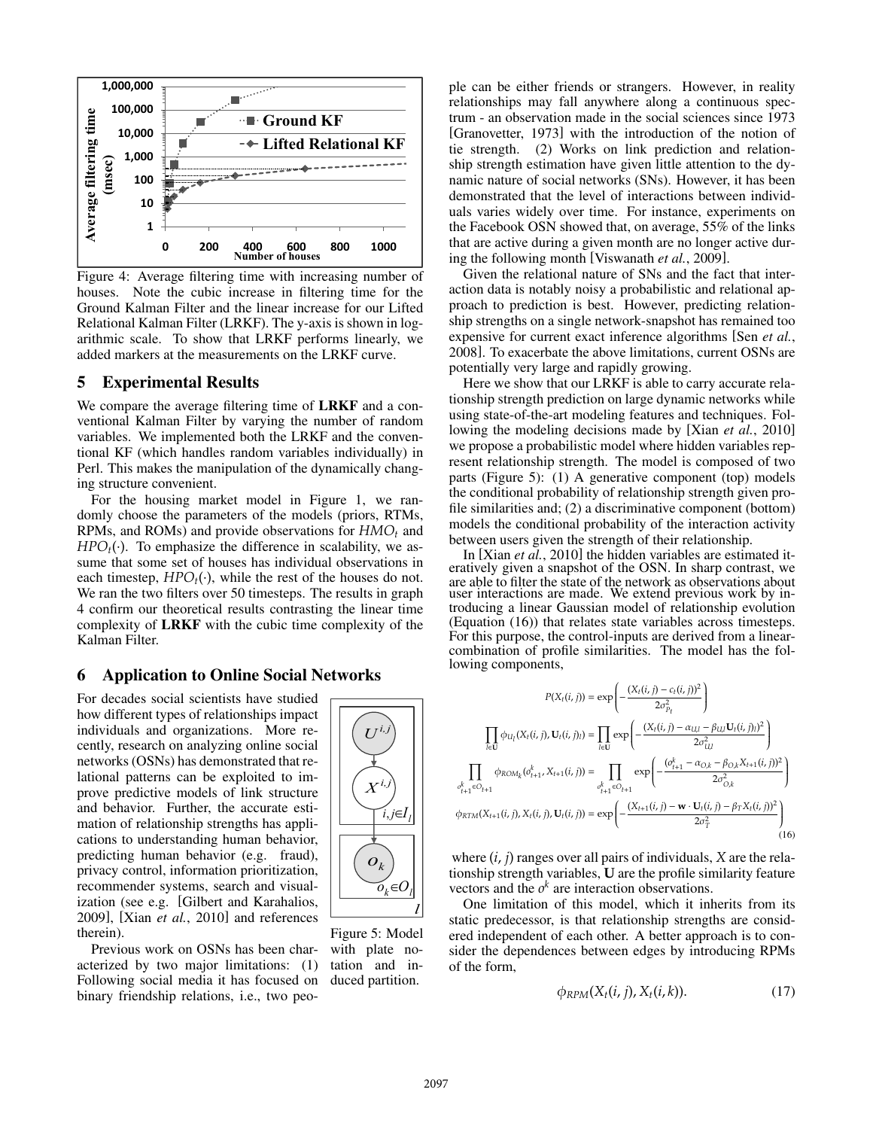

Figure 4: Average filtering time with increasing number of houses. Note the cubic increase in filtering time for the Ground Kalman Filter and the linear increase for our Lifted Relational Kalman Filter (LRKF). The y-axis is shown in logarithmic scale. To show that LRKF performs linearly, we added markers at the measurements on the LRKF curve.

### 5 Experimental Results

We compare the average filtering time of **LRKF** and a conventional Kalman Filter by varying the number of random variables. We implemented both the LRKF and the conventional KF (which handles random variables individually) in Perl. This makes the manipulation of the dynamically changing structure convenient.

For the housing market model in Figure 1, we randomly choose the parameters of the models (priors, RTMs, RPMs, and ROMs) and provide observations for  $HMO<sub>t</sub>$  and  $HPO<sub>t</sub>(.)$ . To emphasize the difference in scalability, we assume that some set of houses has individual observations in each timestep,  $HPO<sub>t</sub>(.)$ , while the rest of the houses do not. We ran the two filters over 50 timesteps. The results in graph 4 confirm our theoretical results contrasting the linear time complexity of LRKF with the cubic time complexity of the Kalman Filter.

### 6 Application to Online Social Networks

For decades social scientists have studied how different types of relationships impact individuals and organizations. More recently, research on analyzing online social networks (OSNs) has demonstrated that relational patterns can be exploited to improve predictive models of link structure and behavior. Further, the accurate estimation of relationship strengths has applications to understanding human behavior, predicting human behavior (e.g. fraud), privacy control, information prioritization, recommender systems, search and visualization (see e.g. [Gilbert and Karahalios, 2009], [Xian *et al.*, 2010] and references therein).

Previous work on OSNs has been characterized by two major limitations: (1) Following social media it has focused on binary friendship relations, i.e., two peo-



Figure 5: Model with plate notation and induced partition.

ple can be either friends or strangers. However, in reality relationships may fall anywhere along a continuous spectrum - an observation made in the social sciences since 1973 [Granovetter, 1973] with the introduction of the notion of tie strength. (2) Works on link prediction and relationship strength estimation have given little attention to the dynamic nature of social networks (SNs). However, it has been demonstrated that the level of interactions between individuals varies widely over time. For instance, experiments on the Facebook OSN showed that, on average, 55% of the links that are active during a given month are no longer active during the following month [Viswanath *et al.*, 2009].

Given the relational nature of SNs and the fact that interaction data is notably noisy a probabilistic and relational approach to prediction is best. However, predicting relationship strengths on a single network-snapshot has remained too expensive for current exact inference algorithms [Sen *et al.*, 2008]. To exacerbate the above limitations, current OSNs are potentially very large and rapidly growing.

Here we show that our LRKF is able to carry accurate relationship strength prediction on large dynamic networks while using state-of-the-art modeling features and techniques. Following the modeling decisions made by [Xian *et al.*, 2010] we propose a probabilistic model where hidden variables represent relationship strength. The model is composed of two parts (Figure 5): (1) A generative component (top) models the conditional probability of relationship strength given profile similarities and; (2) a discriminative component (bottom) models the conditional probability of the interaction activity between users given the strength of their relationship.

In [Xian *et al.*, 2010] the hidden variables are estimated iteratively given a snapshot of the OSN. In sharp contrast, we are able to filter the state of the network as observations about user interactions are made. We extend previous work by introducing a linear Gaussian model of relationship evolution (Equation (16)) that relates state variables across timesteps. For this purpose, the control-inputs are derived from a linearcombination of profile similarities. The model has the following components,

$$
P(X_t(i, j)) = \exp\left(-\frac{(X_t(i, j) - c_t(i, j))^2}{2\sigma_{P_t}^2}\right)
$$

$$
\prod_{l \in U} \phi_{U_l}(X_t(i, j), U_t(i, j)) = \prod_{l \in U} \exp\left(-\frac{(X_t(i, j) - \alpha_{U,l} - \beta_{U,l}U_t(i, j))^2}{2\sigma_{U,l}^2}\right)
$$

$$
\prod_{\substack{v_{t+1}^k \in O_{t+1}}} \phi_{ROM_k}(o_{t+1}^k, X_{t+1}(i, j)) = \prod_{\substack{v_{t+1}^k \in O_{t+1}}} \exp\left(-\frac{(o_{t+1}^k - \alpha_{O,k} - \beta_{O,k}X_{t+1}(i, j))^2}{2\sigma_{O,k}^2}\right)
$$

$$
\phi_{RTM}(X_{t+1}(i, j), X_t(i, j), U_t(i, j)) = \exp\left(-\frac{(X_{t+1}(i, j) - \mathbf{w} \cdot U_t(i, j) - \beta_T X_t(i, j))^2}{2\sigma_T^2}\right)
$$
(16)

where (*i*, *j*) ranges over all pairs of individuals, *X* are the relationship strength variables, **U** are the profile similarity feature vectors and the  $o<sup>k</sup>$  are interaction observations.

One limitation of this model, which it inherits from its static predecessor, is that relationship strengths are considered independent of each other. A better approach is to consider the dependences between edges by introducing RPMs of the form,

$$
\phi_{RPM}(X_t(i,j), X_t(i,k)).\tag{17}
$$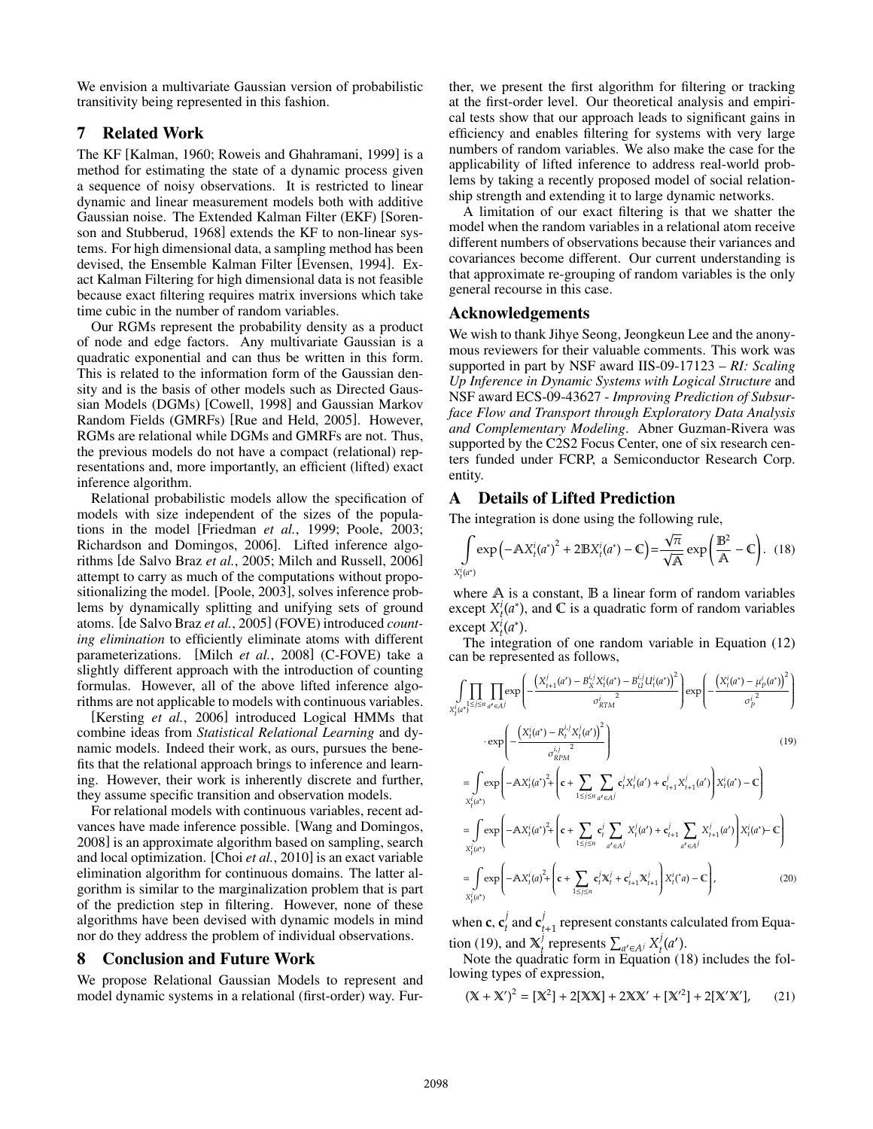We envision a multivariate Gaussian version of probabilistic transitivity being represented in this fashion.

## 7 Related Work

The KF [Kalman, 1960; Roweis and Ghahramani, 1999] is a method for estimating the state of a dynamic process given a sequence of noisy observations. It is restricted to linear dynamic and linear measurement models both with additive Gaussian noise. The Extended Kalman Filter (EKF) [Sorenson and Stubberud, 1968] extends the KF to non-linear systems. For high dimensional data, a sampling method has been devised, the Ensemble Kalman Filter [Evensen, 1994]. Exact Kalman Filtering for high dimensional data is not feasible because exact filtering requires matrix inversions which take time cubic in the number of random variables.

Our RGMs represent the probability density as a product of node and edge factors. Any multivariate Gaussian is a quadratic exponential and can thus be written in this form. This is related to the information form of the Gaussian density and is the basis of other models such as Directed Gaussian Models (DGMs) [Cowell, 1998] and Gaussian Markov Random Fields (GMRFs) [Rue and Held, 2005]. However, RGMs are relational while DGMs and GMRFs are not. Thus, the previous models do not have a compact (relational) representations and, more importantly, an efficient (lifted) exact inference algorithm.

Relational probabilistic models allow the specification of models with size independent of the sizes of the populations in the model [Friedman *et al.*, 1999; Poole, 2003; Richardson and Domingos, 2006]. Lifted inference algorithms [de Salvo Braz *et al.*, 2005; Milch and Russell, 2006] attempt to carry as much of the computations without propositionalizing the model. [Poole, 2003], solves inference problems by dynamically splitting and unifying sets of ground atoms. [de Salvo Braz *et al.*, 2005] (FOVE) introduced *counting elimination* to efficiently eliminate atoms with different parameterizations. [Milch *et al.*, 2008] (C-FOVE) take a slightly different approach with the introduction of counting formulas. However, all of the above lifted inference algorithms are not applicable to models with continuous variables.

[Kersting *et al.*, 2006] introduced Logical HMMs that combine ideas from *Statistical Relational Learning* and dynamic models. Indeed their work, as ours, pursues the benefits that the relational approach brings to inference and learning. However, their work is inherently discrete and further, they assume specific transition and observation models.

For relational models with continuous variables, recent advances have made inference possible. [Wang and Domingos, 2008] is an approximate algorithm based on sampling, search and local optimization. [Choi *et al.*, 2010] is an exact variable elimination algorithm for continuous domains. The latter algorithm is similar to the marginalization problem that is part of the prediction step in filtering. However, none of these algorithms have been devised with dynamic models in mind nor do they address the problem of individual observations.

#### 8 Conclusion and Future Work

We propose Relational Gaussian Models to represent and model dynamic systems in a relational (first-order) way. Further, we present the first algorithm for filtering or tracking at the first-order level. Our theoretical analysis and empirical tests show that our approach leads to significant gains in efficiency and enables filtering for systems with very large numbers of random variables. We also make the case for the applicability of lifted inference to address real-world problems by taking a recently proposed model of social relationship strength and extending it to large dynamic networks.

A limitation of our exact filtering is that we shatter the model when the random variables in a relational atom receive different numbers of observations because their variances and covariances become different. Our current understanding is that approximate re-grouping of random variables is the only general recourse in this case.

#### Acknowledgements

We wish to thank Jihye Seong, Jeongkeun Lee and the anonymous reviewers for their valuable comments. This work was supported in part by NSF award IIS-09-17123 – *RI: Scaling Up Inference in Dynamic Systems with Logical Structure* and NSF award ECS-09-43627 - *Improving Prediction of Subsurface Flow and Transport through Exploratory Data Analysis and Complementary Modeling*. Abner Guzman-Rivera was supported by the C2S2 Focus Center, one of six research centers funded under FCRP, a Semiconductor Research Corp. entity.

### A Details of Lifted Prediction

The integration is done using the following rule,

$$
\int_{X_t^i(a^*)} \exp\left(-\mathbb{A}X_t^i(a^*)^2 + 2\mathbb{B}X_t^i(a^*) - \mathbb{C}\right) = \frac{\sqrt{\pi}}{\sqrt{\mathbb{A}}} \exp\left(\frac{\mathbb{B}^2}{\mathbb{A}} - \mathbb{C}\right). \tag{18}
$$

where  $A$  is a constant,  $B$  a linear form of random variables except  $X_i^i(a^*)$ , and  $\mathbb C$  is a quadratic form of random variables<br>except  $X_i^i(a^*)$ except  $X_t^i(a^*)$ .<br>The integra

The integration of one random variable in Equation (12) can be represented as follows,

$$
\int_{X_{i}^{j}(a^{*})} \prod_{1 \leq j \leq n} \prod_{a^{*} \in A^{j}} \exp \left(-\frac{\left(X_{i+1}^{j}(a^{*}) - B_{X}^{i,j}X_{i}^{i}(a^{*}) - B_{U}^{i,j}U_{i}^{i}(a^{*})\right)^{2}}{\sigma_{RTM}^{i}}\right) \exp \left(-\frac{\left(X_{i}^{i}(a^{*}) - \mu_{p}^{i}(a^{*})\right)^{2}}{\sigma_{p}^{i}}\right)
$$
\n
$$
\cdot \exp \left(-\frac{\left(X_{i}^{i}(a^{*}) - R_{i}^{i,j}X_{i}^{i}(a^{*})\right)^{2}}{\sigma_{RPM}^{i,j}}\right) \tag{19}
$$
\n
$$
= \int \exp \left(-\mathbf{A}X_{i}^{i}(a^{*})^{2} + \left(\mathbf{c} + \sum_{1 \leq j \leq n} \sum_{a^{*} \in A^{j}} c_{i}^{j}X_{i}^{j}(a^{*}) + c_{i+1}^{j}X_{i+1}^{j}(a^{*})\right)X_{i}^{i}(a^{*}) - \mathbf{C}\right)
$$
\n
$$
= \int \exp \left(-\mathbf{A}X_{i}^{i}(a^{*})^{2} + \left(\mathbf{c} + \sum_{1 \leq j \leq n} c_{i}^{j} \sum_{a^{*} \in A^{j}} X_{i}^{j}(a^{*}) + c_{i+1}^{j} \sum_{a^{*} \in A^{j}} X_{i+1}^{j}(a^{*})\right)X_{i}^{i}(a^{*}) - \mathbf{C}\right)
$$
\n
$$
= \int \exp \left(-\mathbf{A}X_{i}^{i}(a^{*})^{2} + \left(\mathbf{c} + \sum_{1 \leq j \leq n} c_{i}^{j}X_{i}^{j} + c_{i+1}^{j}X_{i+1}^{j}\right)X_{i}^{i}(a^{*}) - \mathbf{C}\right), \tag{20}
$$

when **c**,  $\mathbf{c}_t^j$  and  $\mathbf{c}_{t+1}^j$  represent constants calculated from Equation (19), and  $X_t^j$  represents  $\sum_{a' \in A^j} X_t^j(a')$ .<br>Note the quadratic form in Equation (1)

 $A(t)$ , and  $A_t$  represents  $\sum_{a' \in A} A_t(a')$ .<br>Note the quadratic form in Equation (18) includes the following types of expression,

$$
(\mathbf{X} + \mathbf{X}')^2 = [\mathbf{X}^2] + 2[\mathbf{XX}] + 2\mathbf{XX}' + [\mathbf{X}'^2] + 2[\mathbf{X}'\mathbf{X}'], \qquad (21)
$$